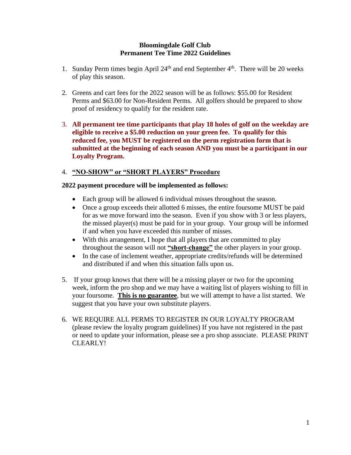## **Bloomingdale Golf Club Permanent Tee Time 2022 Guidelines**

- 1. Sunday Perm times begin April  $24<sup>th</sup>$  and end September  $4<sup>th</sup>$ . There will be 20 weeks of play this season.
- 2. Greens and cart fees for the 2022 season will be as follows: \$55.00 for Resident Perms and \$63.00 for Non-Resident Perms. All golfers should be prepared to show proof of residency to qualify for the resident rate.
- 3. **All permanent tee time participants that play 18 holes of golf on the weekday are eligible to receive a \$5.00 reduction on your green fee. To qualify for this reduced fee, you MUST be registered on the perm registration form that is submitted at the beginning of each season AND you must be a participant in our Loyalty Program.**

## 4. **"NO-SHOW" or "SHORT PLAYERS" Procedure**

## **2022 payment procedure will be implemented as follows:**

- Each group will be allowed 6 individual misses throughout the season.
- Once a group exceeds their allotted 6 misses, the entire foursome MUST be paid for as we move forward into the season. Even if you show with 3 or less players, the missed player(s) must be paid for in your group. Your group will be informed if and when you have exceeded this number of misses.
- With this arrangement, I hope that all players that are committed to play throughout the season will not **"short-change"** the other players in your group.
- In the case of inclement weather, appropriate credits/refunds will be determined and distributed if and when this situation falls upon us.
- 5. If your group knows that there will be a missing player or two for the upcoming week, inform the pro shop and we may have a waiting list of players wishing to fill in your foursome. **This is no guarantee**, but we will attempt to have a list started. We suggest that you have your own substitute players.
- 6. WE REQUIRE ALL PERMS TO REGISTER IN OUR LOYALTY PROGRAM (please review the loyalty program guidelines) If you have not registered in the past or need to update your information, please see a pro shop associate. PLEASE PRINT CLEARLY!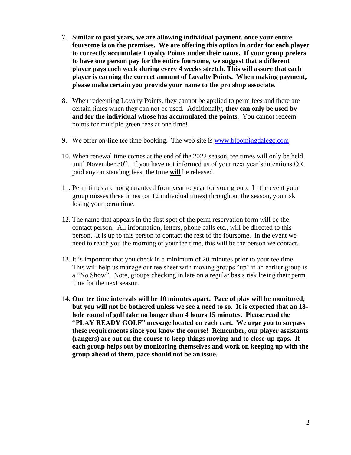- 7. **Similar to past years, we are allowing individual payment, once your entire foursome is on the premises. We are offering this option in order for each player to correctly accumulate Loyalty Points under their name. If your group prefers to have one person pay for the entire foursome, we suggest that a different player pays each week during every 4 weeks stretch. This will assure that each player is earning the correct amount of Loyalty Points. When making payment, please make certain you provide your name to the pro shop associate.**
- 8. When redeeming Loyalty Points, they cannot be applied to perm fees and there are certain times when they can not be used. Additionally, **they can only be used by and for the individual whose has accumulated the points.** You cannot redeem points for multiple green fees at one time!
- 9. We offer on-line tee time booking. The web site is [www.bloomingdalegc.com](http://www.bloomingdalegc.com/)
- 10. When renewal time comes at the end of the 2022 season, tee times will only be held until November  $30<sup>th</sup>$ . If you have not informed us of your next year's intentions OR paid any outstanding fees, the time **will** be released.
- 11. Perm times are not guaranteed from year to year for your group. In the event your group misses three times (or 12 individual times) throughout the season, you risk losing your perm time.
- 12. The name that appears in the first spot of the perm reservation form will be the contact person. All information, letters, phone calls etc., will be directed to this person. It is up to this person to contact the rest of the foursome. In the event we need to reach you the morning of your tee time, this will be the person we contact.
- 13. It is important that you check in a minimum of 20 minutes prior to your tee time. This will help us manage our tee sheet with moving groups "up" if an earlier group is a "No Show". Note, groups checking in late on a regular basis risk losing their perm time for the next season.
- 14. **Our tee time intervals will be 10 minutes apart. Pace of play will be monitored, but you will not be bothered unless we see a need to so. It is expected that an 18 hole round of golf take no longer than 4 hours 15 minutes. Please read the "PLAY READY GOLF" message located on each cart. We urge you to surpass these requirements since you know the course! Remember, our player assistants (rangers) are out on the course to keep things moving and to close-up gaps. If each group helps out by monitoring themselves and work on keeping up with the group ahead of them, pace should not be an issue.**